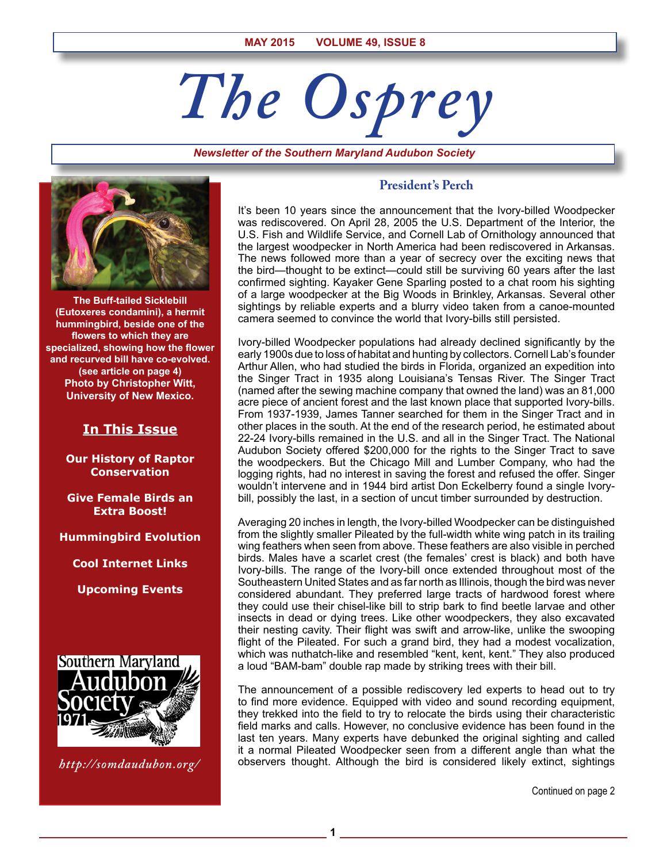# *The Osprey*

*Newsletter of the Southern Maryland Audubon Society*



**The Buff-tailed Sicklebill (Eutoxeres condamini), a hermit hummingbird, beside one of the flowers to which they are specialized, showing how the flower and recurved bill have co-evolved. (see article on page 4) Photo by Christopher Witt, University of New Mexico.**

# **In This Issue**

**Our History of Raptor Conservation**

**Give Female Birds an Extra Boost!**

**Hummingbird Evolution**

**Cool Internet Links**

**Upcoming Events**



*http://somdaudubon.org/*

## **President's Perch**

It's been 10 years since the announcement that the Ivory-billed Woodpecker was rediscovered. On April 28, 2005 the U.S. Department of the Interior, the U.S. Fish and Wildlife Service, and Cornell Lab of Ornithology announced that the largest woodpecker in North America had been rediscovered in Arkansas. The news followed more than a year of secrecy over the exciting news that the bird—thought to be extinct—could still be surviving 60 years after the last confirmed sighting. Kayaker Gene Sparling posted to a chat room his sighting of a large woodpecker at the Big Woods in Brinkley, Arkansas. Several other sightings by reliable experts and a blurry video taken from a canoe-mounted camera seemed to convince the world that Ivory-bills still persisted.

Ivory-billed Woodpecker populations had already declined significantly by the early 1900s due to loss of habitat and hunting by collectors. Cornell Lab's founder Arthur Allen, who had studied the birds in Florida, organized an expedition into the Singer Tract in 1935 along Louisiana's Tensas River. The Singer Tract (named after the sewing machine company that owned the land) was an 81,000 acre piece of ancient forest and the last known place that supported Ivory-bills. From 1937-1939, James Tanner searched for them in the Singer Tract and in other places in the south. At the end of the research period, he estimated about 22-24 Ivory-bills remained in the U.S. and all in the Singer Tract. The National Audubon Society offered \$200,000 for the rights to the Singer Tract to save the woodpeckers. But the Chicago Mill and Lumber Company, who had the logging rights, had no interest in saving the forest and refused the offer. Singer wouldn't intervene and in 1944 bird artist Don Eckelberry found a single Ivorybill, possibly the last, in a section of uncut timber surrounded by destruction.

Averaging 20 inches in length, the Ivory-billed Woodpecker can be distinguished from the slightly smaller Pileated by the full-width white wing patch in its trailing wing feathers when seen from above. These feathers are also visible in perched birds. Males have a scarlet crest (the females' crest is black) and both have Ivory-bills. The range of the Ivory-bill once extended throughout most of the Southeastern United States and as far north as Illinois, though the bird was never considered abundant. They preferred large tracts of hardwood forest where they could use their chisel-like bill to strip bark to find beetle larvae and other insects in dead or dying trees. Like other woodpeckers, they also excavated their nesting cavity. Their flight was swift and arrow-like, unlike the swooping flight of the Pileated. For such a grand bird, they had a modest vocalization, which was nuthatch-like and resembled "kent, kent, kent." They also produced a loud "BAM-bam" double rap made by striking trees with their bill.

The announcement of a possible rediscovery led experts to head out to try to find more evidence. Equipped with video and sound recording equipment, they trekked into the field to try to relocate the birds using their characteristic field marks and calls. However, no conclusive evidence has been found in the last ten years. Many experts have debunked the original sighting and called it a normal Pileated Woodpecker seen from a different angle than what the observers thought. Although the bird is considered likely extinct, sightings

**1**

Continued on page 2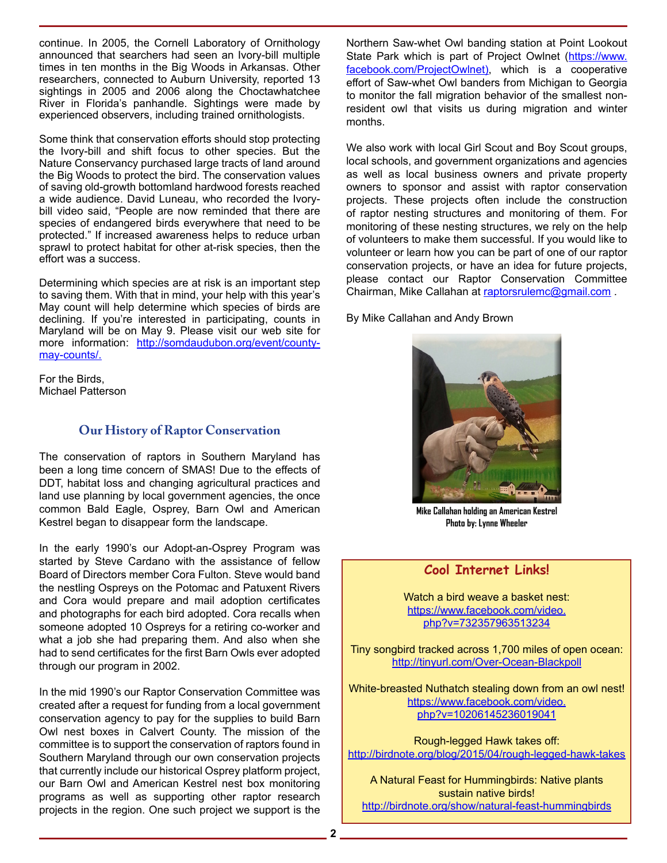continue. In 2005, the Cornell Laboratory of Ornithology announced that searchers had seen an Ivory-bill multiple times in ten months in the Big Woods in Arkansas. Other researchers, connected to Auburn University, reported 13 sightings in 2005 and 2006 along the Choctawhatchee River in Florida's panhandle. Sightings were made by experienced observers, including trained ornithologists.

Some think that conservation efforts should stop protecting the Ivory-bill and shift focus to other species. But the Nature Conservancy purchased large tracts of land around the Big Woods to protect the bird. The conservation values of saving old-growth bottomland hardwood forests reached a wide audience. David Luneau, who recorded the Ivorybill video said, "People are now reminded that there are species of endangered birds everywhere that need to be protected." If increased awareness helps to reduce urban sprawl to protect habitat for other at-risk species, then the effort was a success.

Determining which species are at risk is an important step to saving them. With that in mind, your help with this year's May count will help determine which species of birds are declining. If you're interested in participating, counts in Maryland will be on May 9. Please visit our web site for more information: http://somdaudubon.org/event/countymay-counts/.

For the Birds, Michael Patterson

# **Our History of Raptor Conservation**

The conservation of raptors in Southern Maryland has been a long time concern of SMAS! Due to the effects of DDT, habitat loss and changing agricultural practices and land use planning by local government agencies, the once common Bald Eagle, Osprey, Barn Owl and American Kestrel began to disappear form the landscape.

In the early 1990's our Adopt-an-Osprey Program was started by Steve Cardano with the assistance of fellow Board of Directors member Cora Fulton. Steve would band the nestling Ospreys on the Potomac and Patuxent Rivers and Cora would prepare and mail adoption certificates and photographs for each bird adopted. Cora recalls when someone adopted 10 Ospreys for a retiring co-worker and what a job she had preparing them. And also when she had to send certificates for the first Barn Owls ever adopted through our program in 2002.

In the mid 1990's our Raptor Conservation Committee was created after a request for funding from a local government conservation agency to pay for the supplies to build Barn Owl nest boxes in Calvert County. The mission of the committee is to support the conservation of raptors found in Southern Maryland through our own conservation projects that currently include our historical Osprey platform project, our Barn Owl and American Kestrel nest box monitoring programs as well as supporting other raptor research projects in the region. One such project we support is the

Northern Saw-whet Owl banding station at Point Lookout State Park which is part of Project Owlnet (https://www. facebook.com/ProjectOwlnet), which is a cooperative effort of Saw-whet Owl banders from Michigan to Georgia to monitor the fall migration behavior of the smallest nonresident owl that visits us during migration and winter months.

We also work with local Girl Scout and Boy Scout groups, local schools, and government organizations and agencies as well as local business owners and private property owners to sponsor and assist with raptor conservation projects. These projects often include the construction of raptor nesting structures and monitoring of them. For monitoring of these nesting structures, we rely on the help of volunteers to make them successful. If you would like to volunteer or learn how you can be part of one of our raptor conservation projects, or have an idea for future projects, please contact our Raptor Conservation Committee Chairman, Mike Callahan at raptorsrulemc@gmail.com.

By Mike Callahan and Andy Brown



**Mike Callahan holding an American Kestrel Photo by: Lynne Wheeler**

# **Cool Internet Links!**

Watch a bird weave a basket nest: https://www.facebook.com/video. php?v=732357963513234

Tiny songbird tracked across 1,700 miles of open ocean: http://tinyurl.com/Over-Ocean-Blackpoll

White-breasted Nuthatch stealing down from an owl nest! https://www.facebook.com/video. php?v=10206145236019041

Rough-legged Hawk takes off: http://birdnote.org/blog/2015/04/rough-legged-hawk-takes

A Natural Feast for Hummingbirds: Native plants sustain native birds! http://birdnote.org/show/natural-feast-hummingbirds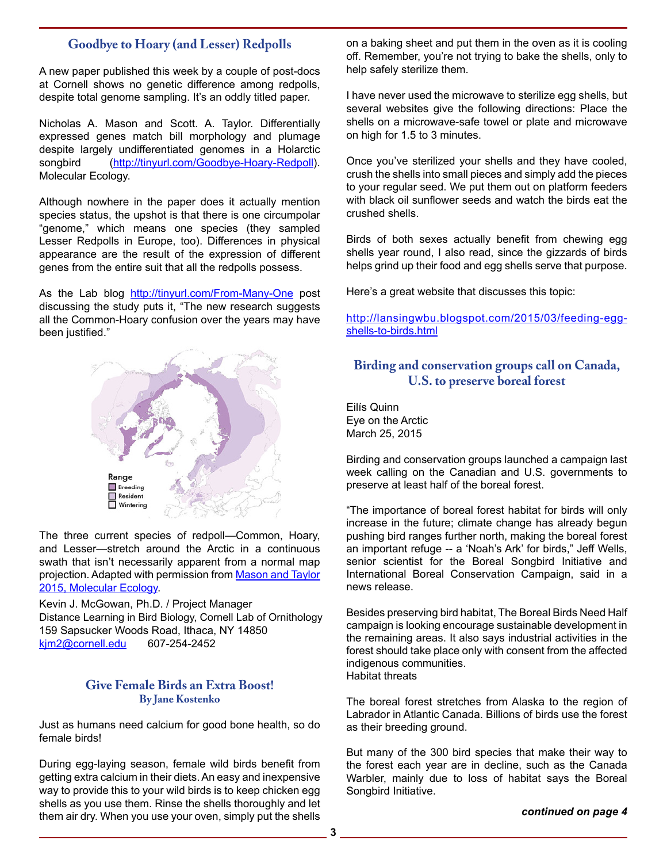# **Goodbye to Hoary (and Lesser) Redpolls**

A new paper published this week by a couple of post-docs at Cornell shows no genetic difference among redpolls, despite total genome sampling. It's an oddly titled paper.

Nicholas A. Mason and Scott. A. Taylor. Differentially expressed genes match bill morphology and plumage despite largely undifferentiated genomes in a Holarctic songbird (http://tinyurl.com/Goodbye-Hoary-Redpoll). Molecular Ecology.

Although nowhere in the paper does it actually mention species status, the upshot is that there is one circumpolar "genome," which means one species (they sampled Lesser Redpolls in Europe, too). Differences in physical appearance are the result of the expression of different genes from the entire suit that all the redpolls possess.

As the Lab blog http://tinyurl.com/From-Many-One post discussing the study puts it, "The new research suggests all the Common-Hoary confusion over the years may have been justified."



The three current species of redpoll—Common, Hoary, and Lesser—stretch around the Arctic in a continuous swath that isn't necessarily apparent from a normal map projection. Adapted with permission from Mason and Taylor 2015, Molecular Ecology.

Kevin J. McGowan, Ph.D. / Project Manager Distance Learning in Bird Biology, Cornell Lab of Ornithology 159 Sapsucker Woods Road, Ithaca, NY 14850<br>kim2@cornell.edu 607-254-2452 kim2@cornell.edu

## **Give Female Birds an Extra Boost! By Jane Kostenko**

Just as humans need calcium for good bone health, so do female birds!

During egg-laying season, female wild birds benefit from getting extra calcium in their diets. An easy and inexpensive way to provide this to your wild birds is to keep chicken egg shells as you use them. Rinse the shells thoroughly and let them air dry. When you use your oven, simply put the shells

on a baking sheet and put them in the oven as it is cooling off. Remember, you're not trying to bake the shells, only to help safely sterilize them.

I have never used the microwave to sterilize egg shells, but several websites give the following directions: Place the shells on a microwave-safe towel or plate and microwave on high for 1.5 to 3 minutes.

Once you've sterilized your shells and they have cooled, crush the shells into small pieces and simply add the pieces to your regular seed. We put them out on platform feeders with black oil sunflower seeds and watch the birds eat the crushed shells.

Birds of both sexes actually benefit from chewing egg shells year round, I also read, since the gizzards of birds helps grind up their food and egg shells serve that purpose.

Here's a great website that discusses this topic:

http://lansingwbu.blogspot.com/2015/03/feeding-eggshells-to-birds.html

# **Birding and conservation groups call on Canada, U.S. to preserve boreal forest**

Eilís Quinn Eye on the Arctic March 25, 2015

Birding and conservation groups launched a campaign last week calling on the Canadian and U.S. governments to preserve at least half of the boreal forest.

"The importance of boreal forest habitat for birds will only increase in the future; climate change has already begun pushing bird ranges further north, making the boreal forest an important refuge -- a 'Noah's Ark' for birds," Jeff Wells, senior scientist for the Boreal Songbird Initiative and International Boreal Conservation Campaign, said in a news release.

Besides preserving bird habitat, The Boreal Birds Need Half campaign is looking encourage sustainable development in the remaining areas. It also says industrial activities in the forest should take place only with consent from the affected indigenous communities. Habitat threats

The boreal forest stretches from Alaska to the region of Labrador in Atlantic Canada. Billions of birds use the forest as their breeding ground.

But many of the 300 bird species that make their way to the forest each year are in decline, such as the Canada Warbler, mainly due to loss of habitat says the Boreal Songbird Initiative.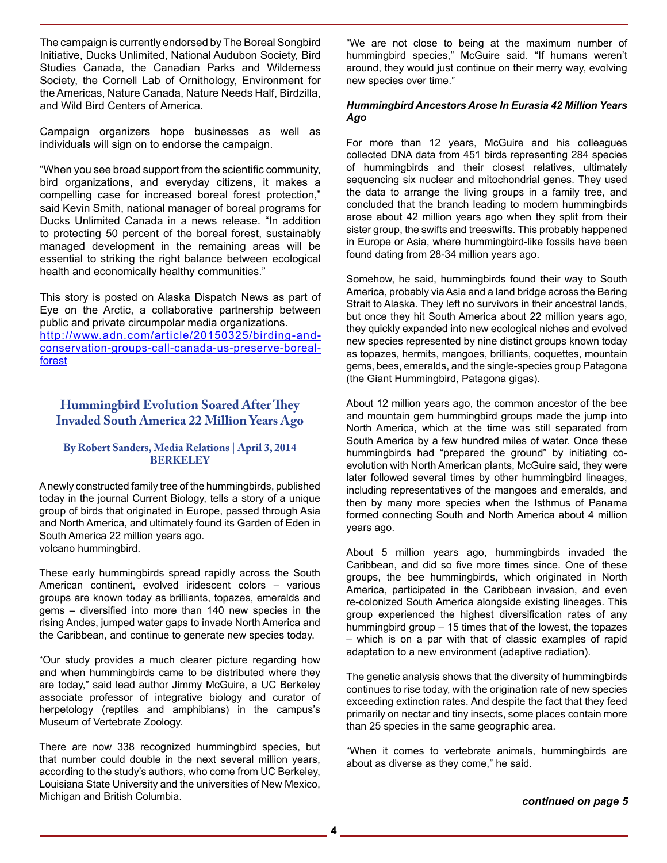The campaign is currently endorsed by The Boreal Songbird Initiative, Ducks Unlimited, National Audubon Society, Bird Studies Canada, the Canadian Parks and Wilderness Society, the Cornell Lab of Ornithology, Environment for the Americas, Nature Canada, Nature Needs Half, Birdzilla, and Wild Bird Centers of America.

Campaign organizers hope businesses as well as individuals will sign on to endorse the campaign.

"When you see broad support from the scientific community, bird organizations, and everyday citizens, it makes a compelling case for increased boreal forest protection," said Kevin Smith, national manager of boreal programs for Ducks Unlimited Canada in a news release. "In addition to protecting 50 percent of the boreal forest, sustainably managed development in the remaining areas will be essential to striking the right balance between ecological health and economically healthy communities."

This story is posted on Alaska Dispatch News as part of Eye on the Arctic, a collaborative partnership between public and private circumpolar media organizations. http://www.adn.com/article/20150325/birding-andconservation-groups-call-canada-us-preserve-borealforest

## **Hummingbird Evolution Soared After They Invaded South America 22 Million Years Ago**

#### **By Robert Sanders, Media Relations | April 3, 2014 BERKELEY**

A newly constructed family tree of the hummingbirds, published today in the journal Current Biology, tells a story of a unique group of birds that originated in Europe, passed through Asia and North America, and ultimately found its Garden of Eden in South America 22 million years ago. volcano hummingbird.

These early hummingbirds spread rapidly across the South American continent, evolved iridescent colors – various groups are known today as brilliants, topazes, emeralds and gems – diversified into more than 140 new species in the rising Andes, jumped water gaps to invade North America and the Caribbean, and continue to generate new species today.

"Our study provides a much clearer picture regarding how and when hummingbirds came to be distributed where they are today," said lead author Jimmy McGuire, a UC Berkeley associate professor of integrative biology and curator of herpetology (reptiles and amphibians) in the campus's Museum of Vertebrate Zoology.

There are now 338 recognized hummingbird species, but that number could double in the next several million years, according to the study's authors, who come from UC Berkeley, Louisiana State University and the universities of New Mexico, Michigan and British Columbia.

"We are not close to being at the maximum number of hummingbird species," McGuire said. "If humans weren't around, they would just continue on their merry way, evolving new species over time."

#### *Hummingbird Ancestors Arose In Eurasia 42 Million Years Ago*

For more than 12 years, McGuire and his colleagues collected DNA data from 451 birds representing 284 species of hummingbirds and their closest relatives, ultimately sequencing six nuclear and mitochondrial genes. They used the data to arrange the living groups in a family tree, and concluded that the branch leading to modern hummingbirds arose about 42 million years ago when they split from their sister group, the swifts and treeswifts. This probably happened in Europe or Asia, where hummingbird-like fossils have been found dating from 28-34 million years ago.

Somehow, he said, hummingbirds found their way to South America, probably via Asia and a land bridge across the Bering Strait to Alaska. They left no survivors in their ancestral lands, but once they hit South America about 22 million years ago, they quickly expanded into new ecological niches and evolved new species represented by nine distinct groups known today as topazes, hermits, mangoes, brilliants, coquettes, mountain gems, bees, emeralds, and the single-species group Patagona (the Giant Hummingbird, Patagona gigas).

About 12 million years ago, the common ancestor of the bee and mountain gem hummingbird groups made the jump into North America, which at the time was still separated from South America by a few hundred miles of water. Once these hummingbirds had "prepared the ground" by initiating coevolution with North American plants, McGuire said, they were later followed several times by other hummingbird lineages, including representatives of the mangoes and emeralds, and then by many more species when the Isthmus of Panama formed connecting South and North America about 4 million years ago.

About 5 million years ago, hummingbirds invaded the Caribbean, and did so five more times since. One of these groups, the bee hummingbirds, which originated in North America, participated in the Caribbean invasion, and even re-colonized South America alongside existing lineages. This group experienced the highest diversification rates of any hummingbird group – 15 times that of the lowest, the topazes – which is on a par with that of classic examples of rapid adaptation to a new environment (adaptive radiation).

The genetic analysis shows that the diversity of hummingbirds continues to rise today, with the origination rate of new species exceeding extinction rates. And despite the fact that they feed primarily on nectar and tiny insects, some places contain more than 25 species in the same geographic area.

"When it comes to vertebrate animals, hummingbirds are about as diverse as they come," he said.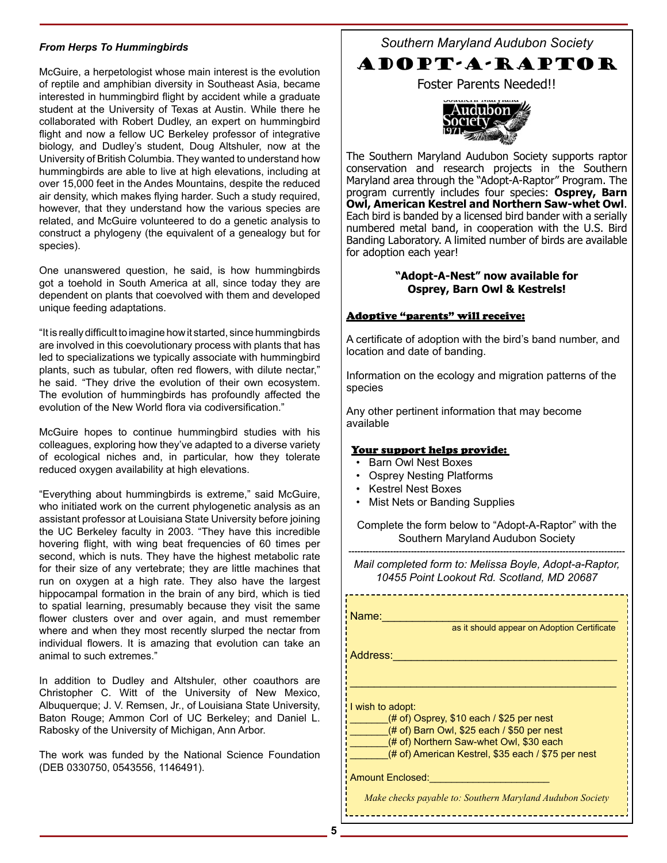#### *From Herps To Hummingbirds*

McGuire, a herpetologist whose main interest is the evolution of reptile and amphibian diversity in Southeast Asia, became interested in hummingbird flight by accident while a graduate student at the University of Texas at Austin. While there he collaborated with Robert Dudley, an expert on hummingbird flight and now a fellow UC Berkeley professor of integrative biology, and Dudley's student, Doug Altshuler, now at the University of British Columbia. They wanted to understand how hummingbirds are able to live at high elevations, including at over 15,000 feet in the Andes Mountains, despite the reduced air density, which makes flying harder. Such a study required, however, that they understand how the various species are related, and McGuire volunteered to do a genetic analysis to construct a phylogeny (the equivalent of a genealogy but for species).

One unanswered question, he said, is how hummingbirds got a toehold in South America at all, since today they are dependent on plants that coevolved with them and developed unique feeding adaptations.

"It is really difficult to imagine how it started, since hummingbirds are involved in this coevolutionary process with plants that has led to specializations we typically associate with hummingbird plants, such as tubular, often red flowers, with dilute nectar," he said. "They drive the evolution of their own ecosystem. The evolution of hummingbirds has profoundly affected the evolution of the New World flora via codiversification."

McGuire hopes to continue hummingbird studies with his colleagues, exploring how they've adapted to a diverse variety of ecological niches and, in particular, how they tolerate reduced oxygen availability at high elevations.

"Everything about hummingbirds is extreme," said McGuire, who initiated work on the current phylogenetic analysis as an assistant professor at Louisiana State University before joining the UC Berkeley faculty in 2003. "They have this incredible hovering flight, with wing beat frequencies of 60 times per second, which is nuts. They have the highest metabolic rate for their size of any vertebrate; they are little machines that run on oxygen at a high rate. They also have the largest hippocampal formation in the brain of any bird, which is tied to spatial learning, presumably because they visit the same flower clusters over and over again, and must remember where and when they most recently slurped the nectar from individual flowers. It is amazing that evolution can take an animal to such extremes."

In addition to Dudley and Altshuler, other coauthors are Christopher C. Witt of the University of New Mexico, Albuquerque; J. V. Remsen, Jr., of Louisiana State University, Baton Rouge; Ammon Corl of UC Berkeley; and Daniel L. Rabosky of the University of Michigan, Ann Arbor.

The work was funded by the National Science Foundation (DEB 0330750, 0543556, 1146491).

*Southern Maryland Audubon Society*

# ADOPT-A-RAPTOR

Foster Parents Needed!!



The Southern Maryland Audubon Society supports raptor conservation and research projects in the Southern Maryland area through the "Adopt-A-Raptor" Program. The program currently includes four species: **Osprey, Barn Owl, American Kestrel and Northern Saw-whet Owl**. Each bird is banded by a licensed bird bander with a serially numbered metal band, in cooperation with the U.S. Bird Banding Laboratory. A limited number of birds are available for adoption each year!

#### **"Adopt-A-Nest" now available for Osprey, Barn Owl & Kestrels!**

#### Adoptive "parents" will receive:

A certificate of adoption with the bird's band number, and location and date of banding.

Information on the ecology and migration patterns of the species

Any other pertinent information that may become available

#### Your support helps provide:

- Barn Owl Nest Boxes
- Osprey Nesting Platforms
- Kestrel Nest Boxes
- Mist Nets or Banding Supplies

Complete the form below to "Adopt-A-Raptor" with the Southern Maryland Audubon Society

--------------------------------------------------------------------------------------------- *Mail completed form to: Melissa Boyle, Adopt-a-Raptor, 10455 Point Lookout Rd. Scotland, MD 20687*

Name:\_\_\_\_\_\_\_\_\_\_\_\_\_\_\_\_\_\_\_\_\_\_\_\_\_\_\_\_\_\_\_\_\_\_\_\_\_\_\_

as it should appear on Adoption Certificate

Address:\_\_\_\_\_\_\_\_\_\_\_\_\_\_\_\_\_\_\_\_\_\_\_\_\_\_\_\_\_\_\_\_\_\_\_\_\_

I wish to adopt:

 $($ # of) Osprey, \$10 each / \$25 per nest

(# of) Barn Owl, \$25 each / \$50 per nest

(# of) Northern Saw-whet Owl, \$30 each

(# of) American Kestrel, \$35 each / \$75 per nest

\_\_\_\_\_\_\_\_\_\_\_\_\_\_\_\_\_\_\_\_\_\_\_\_\_\_\_\_\_\_\_\_\_\_\_\_\_\_\_\_\_\_\_\_

Amount Enclosed:

*Make checks payable to: Southern Maryland Audubon Society*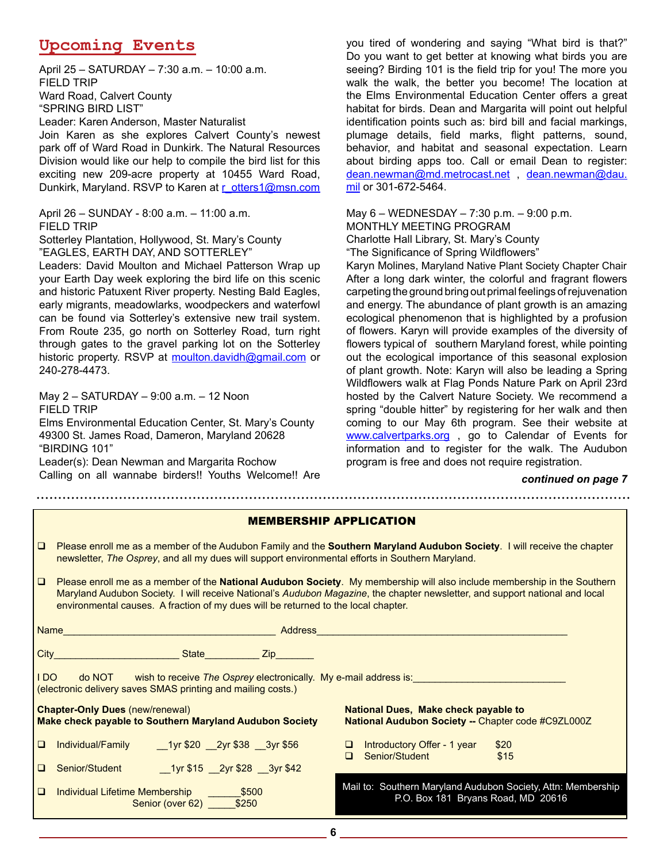# **Upcoming Events**

April 25 – SATURDAY – 7:30 a.m. – 10:00 a.m. FIELD TRIP Ward Road, Calvert County "SPRING BIRD LIST" Leader: Karen Anderson, Master Naturalist

Join Karen as she explores Calvert County's newest park off of Ward Road in Dunkirk. The Natural Resources Division would like our help to compile the bird list for this exciting new 209-acre property at 10455 Ward Road, Dunkirk, Maryland. RSVP to Karen at r\_otters1@msn.com

April 26 – SUNDAY - 8:00 a.m. – 11:00 a.m. FIELD TRIP

Sotterley Plantation, Hollywood, St. Mary's County "EAGLES, EARTH DAY, AND SOTTERLEY"

Leaders: David Moulton and Michael Patterson Wrap up your Earth Day week exploring the bird life on this scenic and historic Patuxent River property. Nesting Bald Eagles, early migrants, meadowlarks, woodpeckers and waterfowl can be found via Sotterley's extensive new trail system. From Route 235, go north on Sotterley Road, turn right through gates to the gravel parking lot on the Sotterley historic property. RSVP at moulton.davidh@gmail.com or 240-278-4473.

May 2 – SATURDAY – 9:00 a.m. – 12 Noon FIELD TRIP

Elms Environmental Education Center, St. Mary's County 49300 St. James Road, Dameron, Maryland 20628 "BIRDING 101"

Leader(s): Dean Newman and Margarita Rochow Calling on all wannabe birders!! Youths Welcome!! Are you tired of wondering and saying "What bird is that?" Do you want to get better at knowing what birds you are seeing? Birding 101 is the field trip for you! The more you walk the walk, the better you become! The location at the Elms Environmental Education Center offers a great habitat for birds. Dean and Margarita will point out helpful identification points such as: bird bill and facial markings, plumage details, field marks, flight patterns, sound, behavior, and habitat and seasonal expectation. Learn about birding apps too. Call or email Dean to register: dean.newman@md.metrocast.net, dean.newman@dau. mil or 301-672-5464.

May 6 – WEDNESDAY – 7:30 p.m. – 9:00 p.m. MONTHLY MEETING PROGRAM Charlotte Hall Library, St. Mary's County "The Significance of Spring Wildflowers"

Karyn Molines, Maryland Native Plant Society Chapter Chair After a long dark winter, the colorful and fragrant flowers carpeting the ground bring out primal feelings of rejuvenation and energy. The abundance of plant growth is an amazing ecological phenomenon that is highlighted by a profusion of flowers. Karyn will provide examples of the diversity of flowers typical of southern Maryland forest, while pointing out the ecological importance of this seasonal explosion of plant growth. Note: Karyn will also be leading a Spring Wildflowers walk at Flag Ponds Nature Park on April 23rd hosted by the Calvert Nature Society. We recommend a spring "double hitter" by registering for her walk and then coming to our May 6th program. See their website at www.calvertparks.org, go to Calendar of Events for information and to register for the walk. The Audubon program is free and does not require registration.

#### *continued on page 7*

| <b>MEMBERSHIP APPLICATION</b>                                                                                                                                                                                                                                                                                                                            |                                                                                                                                                                                                                              |  |  |
|----------------------------------------------------------------------------------------------------------------------------------------------------------------------------------------------------------------------------------------------------------------------------------------------------------------------------------------------------------|------------------------------------------------------------------------------------------------------------------------------------------------------------------------------------------------------------------------------|--|--|
| 1 Q                                                                                                                                                                                                                                                                                                                                                      | Please enroll me as a member of the Audubon Family and the Southern Maryland Audubon Society. I will receive the chapter<br>newsletter, The Osprey, and all my dues will support environmental efforts in Southern Maryland. |  |  |
| $\Box$<br>Please enroll me as a member of the National Audubon Society. My membership will also include membership in the Southern<br>Maryland Audubon Society. I will receive National's Audubon Magazine, the chapter newsletter, and support national and local<br>environmental causes. A fraction of my dues will be returned to the local chapter. |                                                                                                                                                                                                                              |  |  |
|                                                                                                                                                                                                                                                                                                                                                          |                                                                                                                                                                                                                              |  |  |
|                                                                                                                                                                                                                                                                                                                                                          |                                                                                                                                                                                                                              |  |  |
| IDO   do NOT   wish to receive The Osprey electronically. My e-mail address is: _________<br>(electronic delivery saves SMAS printing and mailing costs.)                                                                                                                                                                                                |                                                                                                                                                                                                                              |  |  |
|                                                                                                                                                                                                                                                                                                                                                          | <b>Chapter-Only Dues (new/renewal)</b><br><b>National Dues, Make check payable to</b><br>Make check payable to Southern Maryland Audubon Society<br>National Audubon Society -- Chapter code #C9ZL000Z                       |  |  |
| $\Box$                                                                                                                                                                                                                                                                                                                                                   | $\Box$ Introductory Offer - 1 year<br>\$20<br>□ Senior/Student<br>\$15                                                                                                                                                       |  |  |
| $\Box$                                                                                                                                                                                                                                                                                                                                                   | Senior/Student 1yr \$15 2yr \$28 3yr \$42                                                                                                                                                                                    |  |  |
| $\Box$                                                                                                                                                                                                                                                                                                                                                   | Mail to: Southern Maryland Audubon Society, Attn: Membership<br>P.O. Box 181 Bryans Road, MD 20616<br>Senior (over 62) _______ \$250                                                                                         |  |  |

**6**